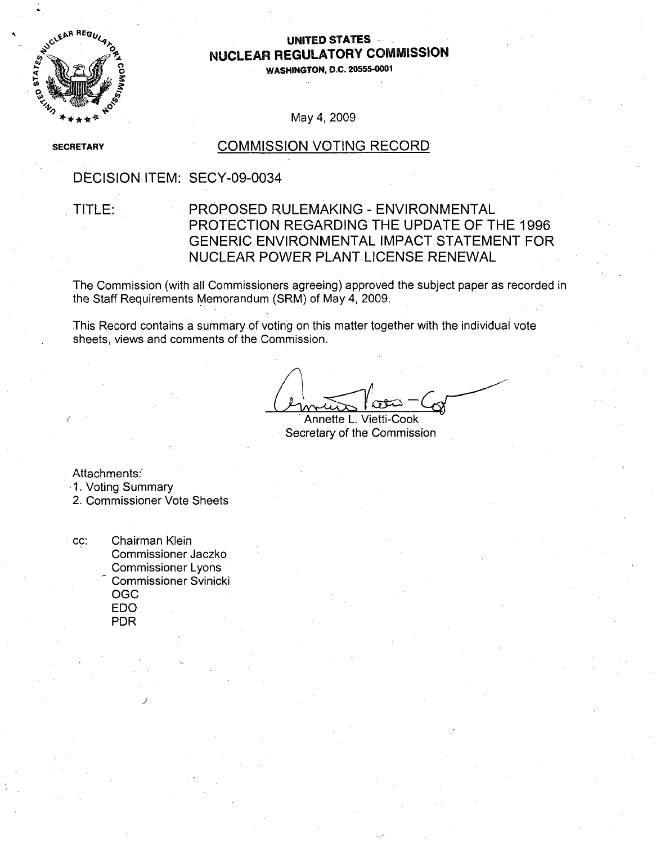

## UNITED STATES<br>بان من الله عليه الله عليه الله عليه الله عليه الله عليه الله عليه الله عليه الله عليه الله عليه ا<br>الله عليه الله عليه الله عليه الله عليه الله عليه الله عليه الله عليه الله عليه الله عليه الله عليه الله علي **NUCLEAR** REGULATORY **COMMISSION**

**O0 WASHINGTON, D.C. 20555-0001**

### May 4, 2009

**SECRETARY** 

### **COMMISSION VOTING RECORD**

## DECISION ITEM: SECY-09-0034

## TITLE: PROPOSED RULEMAKING - ENVIRONMENTAL PROTECTION REGARDING THE UPDATE OF THE 1996 GENERIC ENVIRONMENTAL IMPACT STATEMENT FOR NUCLEAR POWER PLANT LICENSE RENEWAL

The Commission (with all Commissioners agreeing) approved the subject paper as recorded in the Staff Requirements Memorandum (SRM) of May 4, 2009.

This Record contains a summary of voting on this matter together with the individual vote sheets, views and comments of the Commission.

Annette L. Vietti-Cook Secretary of the Commission

Attachments:

1. Voting Summary

2. Commissioner Vote Sheets

cc: Chairman Klein Commissioner Jaczko Commissioner Lyons Commissioner Svinicki OGC **EDO** PDR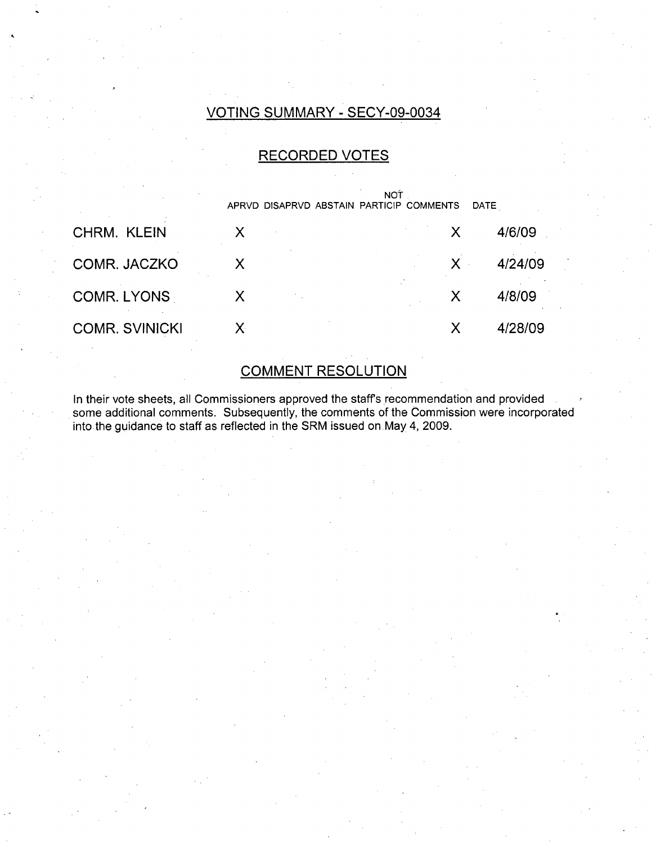## VOTING SUMMARY - SECY-09-0034

## RECORDED VOTES

|                       | <b>NOT</b><br>APRVD DISAPRVD ABSTAIN PARTICIP COMMENTS<br><b>DATE</b> |       |         |
|-----------------------|-----------------------------------------------------------------------|-------|---------|
| <b>CHRM. KLEIN</b>    |                                                                       | X     | 4/6/09  |
| COMR. JACZKO          |                                                                       | $X -$ | 4/24/09 |
| <b>COMR. LYONS</b>    |                                                                       |       | 4/8/09  |
| <b>COMR. SVINICKI</b> |                                                                       |       | 4/28/09 |

# **COMMENT RESOLUTION**

In their vote sheets, all Commissioners approved the staff's recommendation and provided some additional comments. Subsequently, the comments of the Commission were incorporated into the guidance to staff as reflected in the SRM issued on May 4, 2009.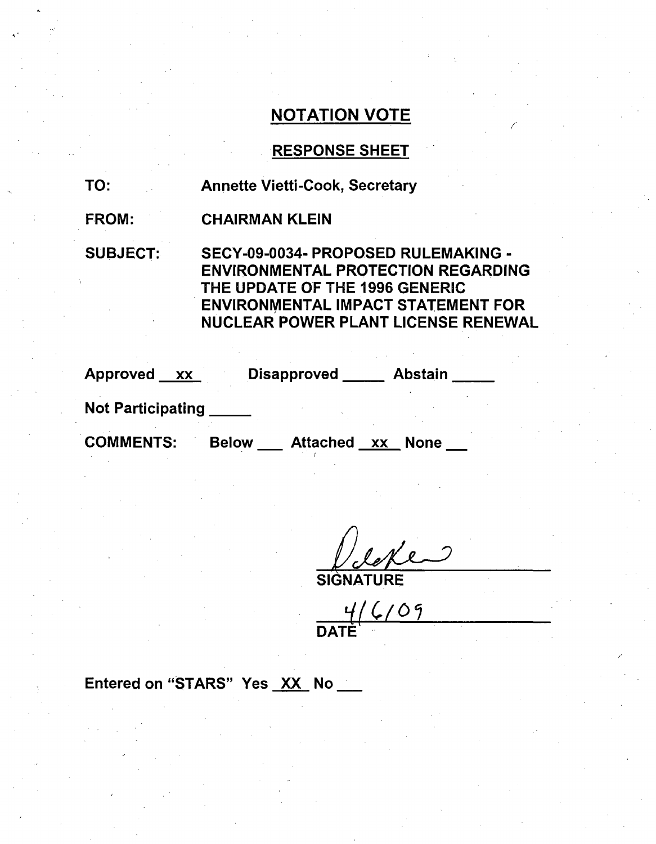## RESPONSE SHEET

TO: Annette Vietti-Cook, Secretary

FROM: CHAIRMAN KLEIN

SUBJECT: SECY-09-0034- PROPOSED RULEMAKING - ENVIRONMENTAL PROTECTION REGARDING THE UPDATE OF THE 1996 GENERIC ENVIRONMENTAL IMPACT STATEMENT FOR NUCLEAR POWER PLANT LICENSE RENEWAL

Approved xx Disapproved Abstain

Not Participating **\_**

COMMENTS: Below Attached xx None

SIGNATURE

**q1 /40I** DATÈ<sup>1</sup>

Entered on "STARS" Yes XX No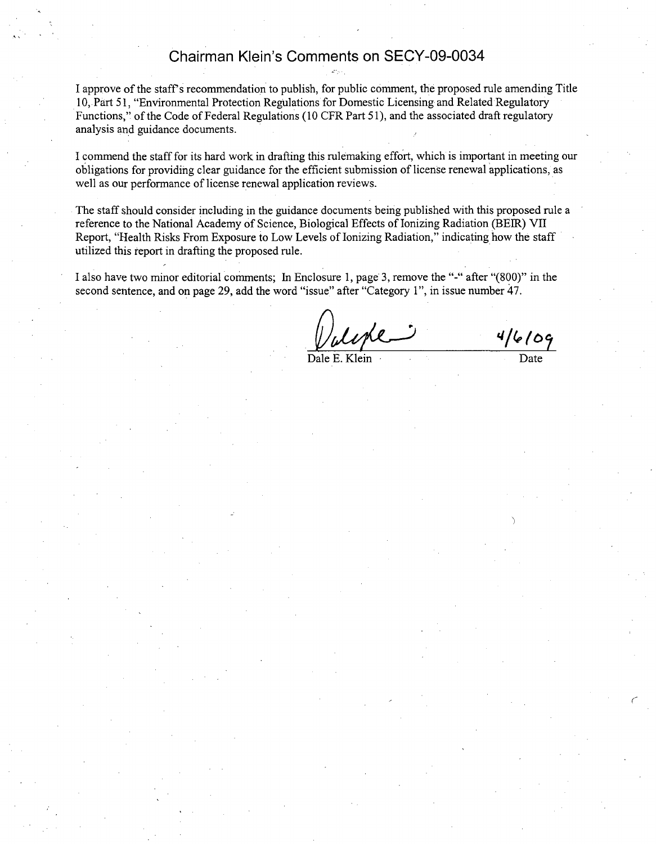## Chairman Klein's Comments on SECY-09-0034

I approve of the staff' s recommendation to publish, for public comment, the proposed rule amending Title 10, Part 51, "Environmental Protection Regulations for Domestic Licensing and Related Regulatory Functions," of the Code of Federal Regulations (10 CFR Part 51), and the associated draft regulatory analysis and guidance documents.

I commend the staff for its hard work in drafting this rulemaking effort, which is important in meeting our obligations for providing clear guidance for the efficient submission of license renewal applications, as well as our performance of license renewal application reviews.

The staff should consider including in the guidance documents being published with this proposed rule a reference to the National Academy of Science, Biological Effects of Ionizing Radiation (BEIR) VII Report, "Health Risks From Exposure to Low Levels of Ionizing Radiation," indicating how the staff utilized this report in drafting the proposed rule.

I also have two minor editorial comments; In Enclosure 1, page 3, remove the "-" after "(800)" in the second sentence, and on page 29, add the word "issue" after "Category 1", in issue number 47.

 $\frac{4/6/09}{\text{Date}}$ 

 $\mathcal{C}_{\mathcal{C}}$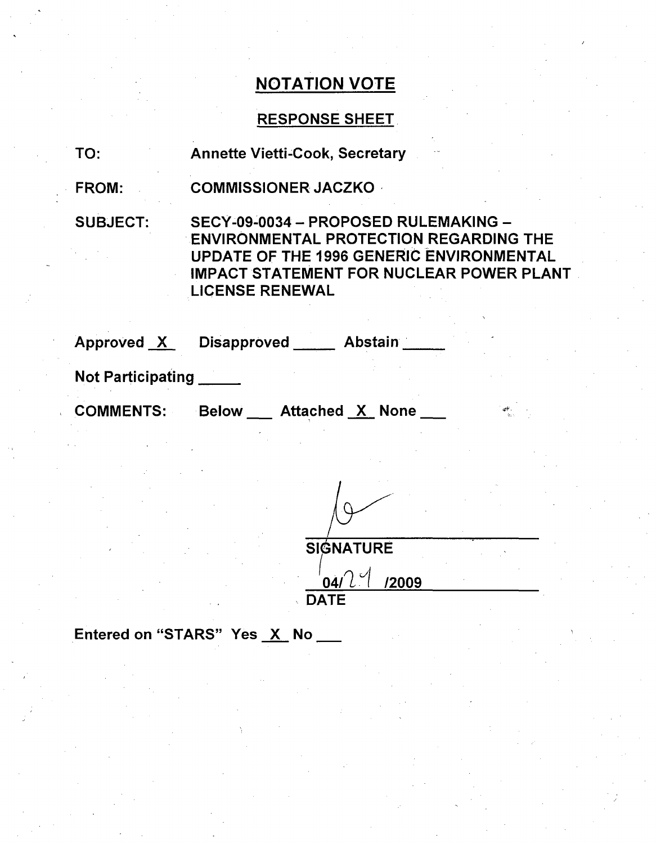## RESPONSE SHEET

| TO: |  |  | <b>Annette Vietti-Cook, Secretary</b> |  |
|-----|--|--|---------------------------------------|--|
|-----|--|--|---------------------------------------|--|

FROM: COMMISSIONER JACZKO

SUBJECT: SECY-09-0034 - PROPOSED RULEMAKING -ENVIRONMENTAL PROTECTION REGARDING THE UPDATE OF THE 1996 GENERIC ENVIRONMENTAL IMPACT STATEMENT FOR NUCLEAR POWER PLANT LICENSE RENEWAL

| Approved X               | <b>Disapproved</b> | <b>Abstain</b> |  |
|--------------------------|--------------------|----------------|--|
|                          |                    |                |  |
| <b>Not Participating</b> |                    |                |  |

COMMENTS: Below Attached X None

**SIGNATURE**  $04/2$ <sup>1</sup> /2009 **DATE** 

Entered on "STARS" Yes X No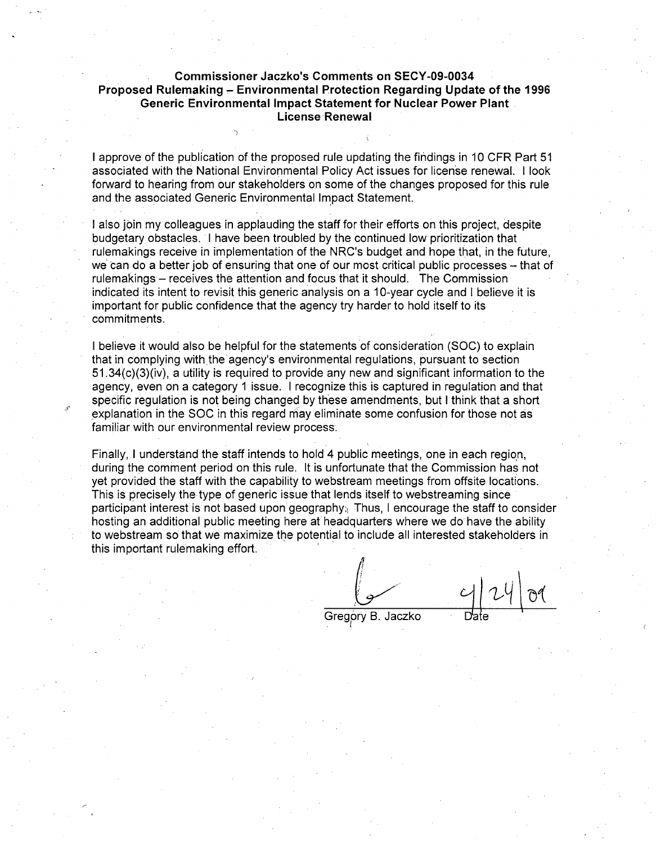### Commissioner Jaczko's Comments on SECY-09-0034 Proposed Rulemaking **-** Environmental Protection Regarding Update of the **1996** Generic Environmental Impact Statement for Nuclear Power Plant License Renewal

I approve of the publication of the proposed rule updating the findings in 10 CFR Part 51 associated with the National Environmental Policy Act issues for license renewal. I look forward to hearing from our stakeholders on some of the changes proposed for this rule and the associated Generic Environmental Impact Statement.

I also join my colleagues in applauding the staff for their efforts on this project, despite budgetary obstacles. I have been troubled by the continued low prioritization that rulemakings receive in implementation of the NRC's budget and hope that, in the future, we can do a better job of ensuring that one of our most critical public processes - that of rulemakings – receives the attention and focus that it should. The Commission indicated its intent to revisit this generic analysis on a 10-year cycle and I believe it is important for public confidence that the agency try harder to hold itself to its commitments.

I believe it would also be helpful for the statements of consideration (SOC) to explain that in complying with the agency's environmental regulations, pursuant to section 51.34(c)(3)(iv), a utility is required to provide any new and significant information to the agency, even on a category 1 issue. I recognize this is captured in regulation and that specific regulation is not being changed by these amendments, but I think that a short explanation in the SOC in this regard may eliminate some confusion for those not as familiar with our environmental review process.

Finally, I understand the staff intends to hold 4 public meetings, one in each region, during the comment period on this rule. It is unfortunate that the Commission has not yet provided the staff with the capability to webstream meetings from offsite locations. This is precisely the type of generic issue that lends itself to webstreaming since participant interest is not based upon geography. Thus, I encourage the staff to consider hosting an additional public meeting here at headquarters where we do have the ability to webstream so that we maximize the potential to include all interested stakeholders in this important rulemaking effort.

Gregory B. Jaczko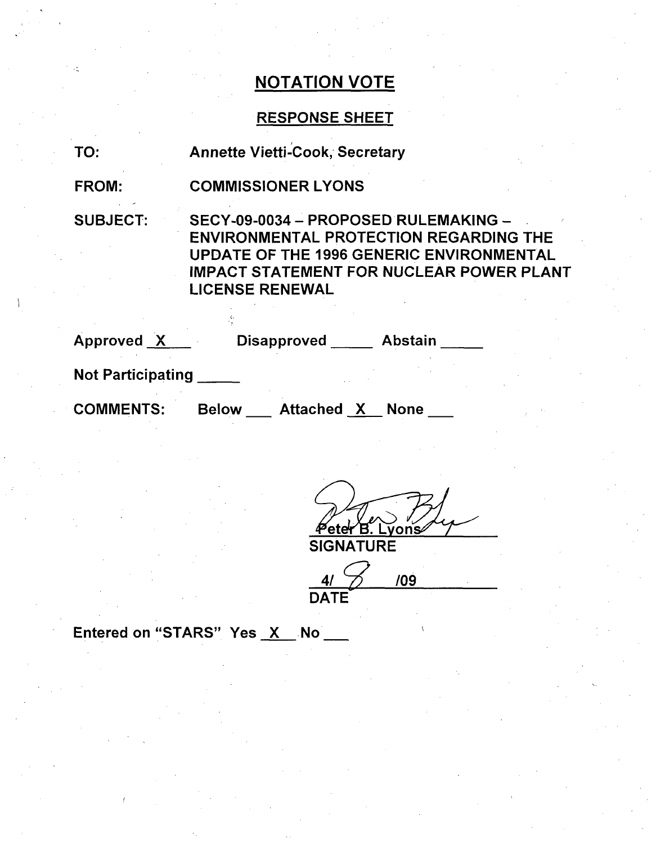## RESPONSE SHEET

TO: Annette Vietti-Cook, Secretary

FROM: COMMISSIONER LYONS

SUBJECT: SECY-09-0034 - PROPOSED RULEMAKING - **.** ENVIRONMENTAL PROTECTION REGARDING THE UPDATE OF THE 1996 GENERIC ENVIRONMENTAL IMPACT STATEMENT FOR NUCLEAR POWER PLANT LICENSE RENEWAL

| Approved X               | <b>Disapproved</b>         | <b>Abstain</b> |
|--------------------------|----------------------------|----------------|
| <b>Not Participating</b> |                            |                |
| <b>COMMENTS:</b>         | Attached X<br><b>Below</b> | <b>None</b>    |

Peter B. L ṽons̃ **SIGNATURE** 

4/  $\frac{1}{2}$  /09 **DATE** 

Entered on "STARS" Yes X No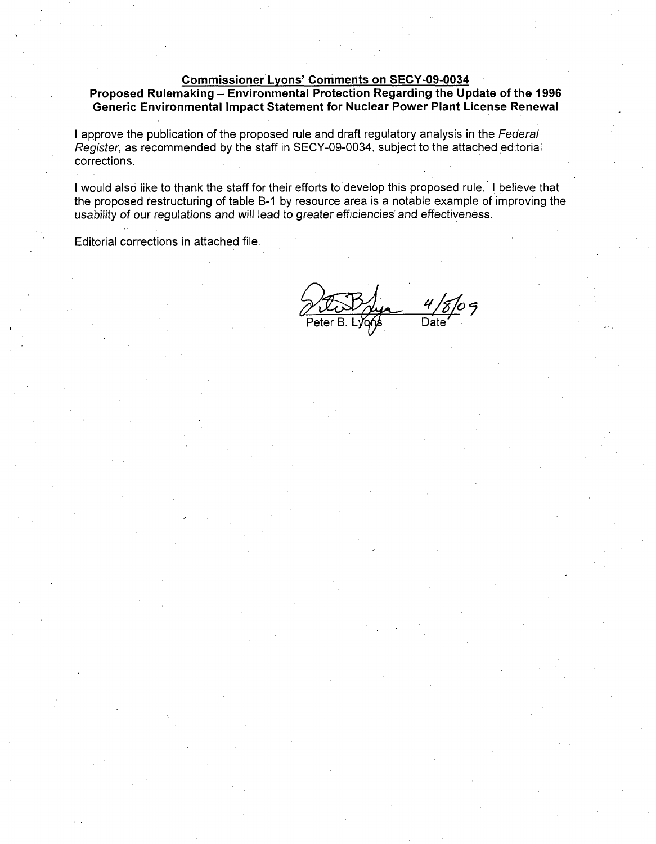### Commissioner Lyons' Comments on SECY-09-0034

Proposed Rulemaking - Environmental Protection Regarding the Update of the **1996** Generic Environmental Impact Statement for Nuclear Power Plant License Renewal

I approve the publication of the proposed rule and draft regulatory analysis in the *Federal Register,* as recommended by the staff in SECY-09-0034, subject to the attached editorial corrections.

I would also like to thank the staff for their efforts to develop this proposed rule. I believe that the proposed restructuring of table B-1 by resource area is a notable example of improving the usability of our regulations and will lead to greater efficiencies and effectiveness.

Editorial corrections in attached file.

Date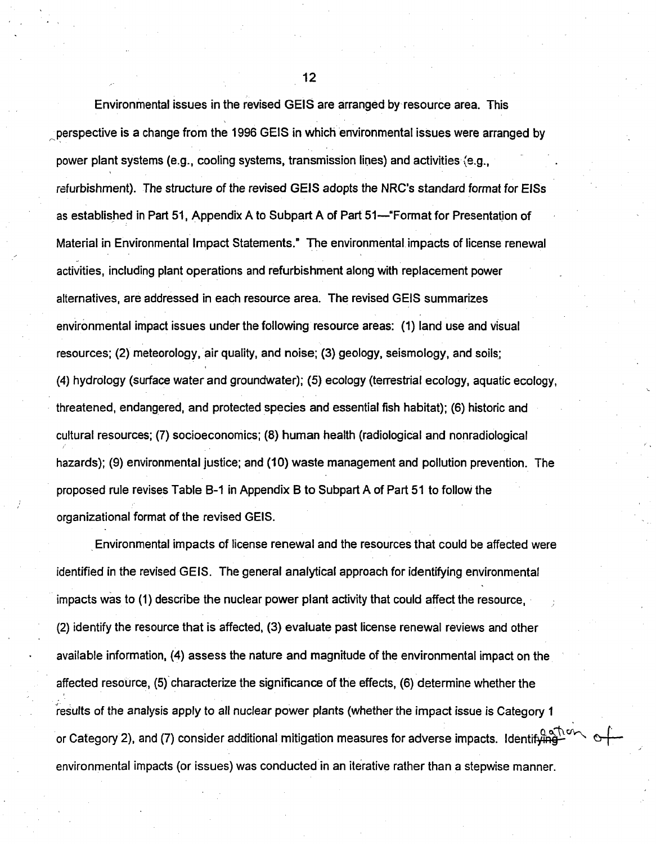Environmental issues in the revised GElS are arranged by-resource area. This -perspective is a change from the 1996 GElS in which environmental issues were arranged by power plant systems (e.g., cooling systems, transmission lines) and activities (e.g., refurbishment). The structure of the revised GElS adopts the NRC's standard format for EISs as established in Part 51, Appendix A to Subpart A of Part 51--"Format for Presentation of Material in Environmental Impact Statements." The environmental impacts of license renewal activities, including plant operations and refurbishment along with replacement power alternatives, are addressed in each resource area. The revised GElS summarizes environmental impact issues under the following resource areas: (1) land use and visual resources; (2) meteorology, air quality, and noise; (3) geology, seismology, and soils; (4) hydrology (surface water and groundwater); (5) ecology (terrestrial ecology, aquatic ecology, threatened, endangered, and protected species and essential fish habitat); (6) historic and cultural resources; (7) socioeconomics; (8) human health (radiological and nonradiological hazards); (9) environmental justice; and (10) waste management and pollution prevention. The proposed rule revises Table B-1 in Appendix B to Subpart A of Part 51 to follow the organizational format of the revised GEIS.

Environmental impacts of license renewal and the resources that could be affected were identified in the revised GELS. The general analytical approach for identifying environmental impacts was to (1) describe the nuclear power plant activity that could affect the resource, (2) identify the resource that is affected, (3) evaluate past license renewal reviews and other available information, (4) assess the nature and magnitude of the environmental impact on the affected resource, (5) characterize the significance of the effects, (6) determine whether the results of the analysis apply to all nuclear power plants (whether the impact issue is Category 1 or Category 2), and (7) consider additional mitigation measures for adverse impacts. Identifying environmental impacts (or issues) was conducted in an iterative rather than a stepwise manner.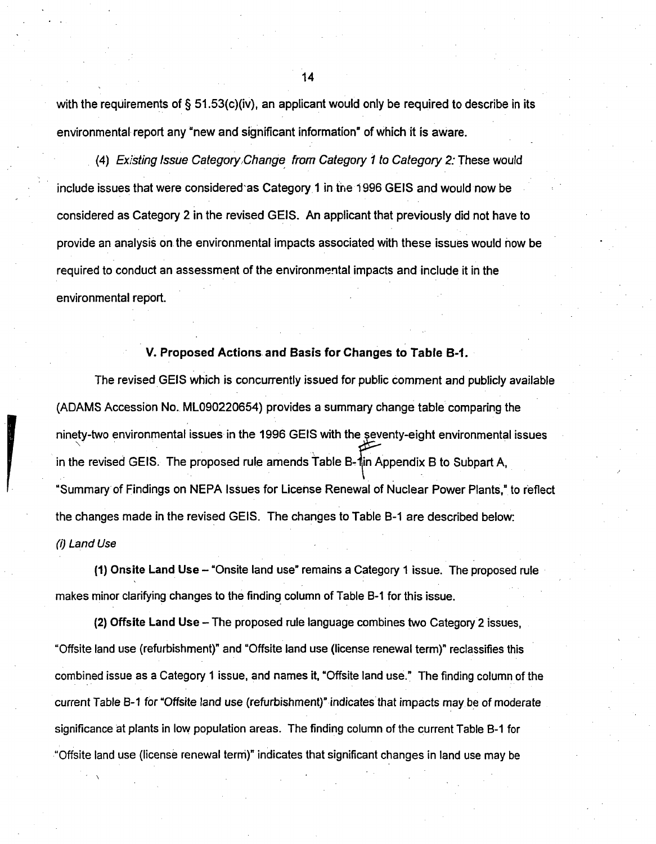with the requirements of  $\S 51.53(c)$  (iv), an applicant would only be required to describe in its environmental report any "new and significant information" of which it is aware.

*(4) Existing Issue Category,Change from Category I to Category 2.* These would include issues that were considered'as Category 1 in the 1996 GElS and would now be considered as Category 2 in the revised GELS. An applicant that previously did not have to provide an analysis on the environmental impacts associated with these issues would now be required to conduct an assessment of the environmental impacts and include it in the environmental report.

### V. Proposed Actions and Basis for Changes to Table B-1.

The revised GElS which is concurrently issued for public comment and publicly available (ADAMS Accession No. ML090220654) provides a summary change table comparing the ninety-two environmental issues in the 1996 GElS with the eventy-eight environmental issues in the revised GEIS. The proposed rule amends Table B-1in Appendix B to Subpart A, "Summary of Findings on NEPA Issues for License Renewal of Nuclear Power Plants," to reflect the changes made in the revised GEIS. The changes to Table B-1 are described below: *(i) Land Use*

(1) Onsite Land Use - "Onsite land use" remains a Category 1 issue. The proposed rule makes minor clarifying changes to the finding column of Table B-1 for this issue.

(2) Offsite Land Use - The proposed rule language combines two Category 2 issues, "Offsite land use (refurbishment)" and "Offsite land use (license renewal term)" reclassifies this combined issue as a Category **I** issue, and names it, "Offsite land use." The finding column of the current Table **B-1** for "Offsite land use (refurbishment)" indicates that impacts may be of moderate significance at plants in low population areas. The finding column of the current Table B-1 for "Offsite land use (license renewal term)" indicates that significant changes in land use may be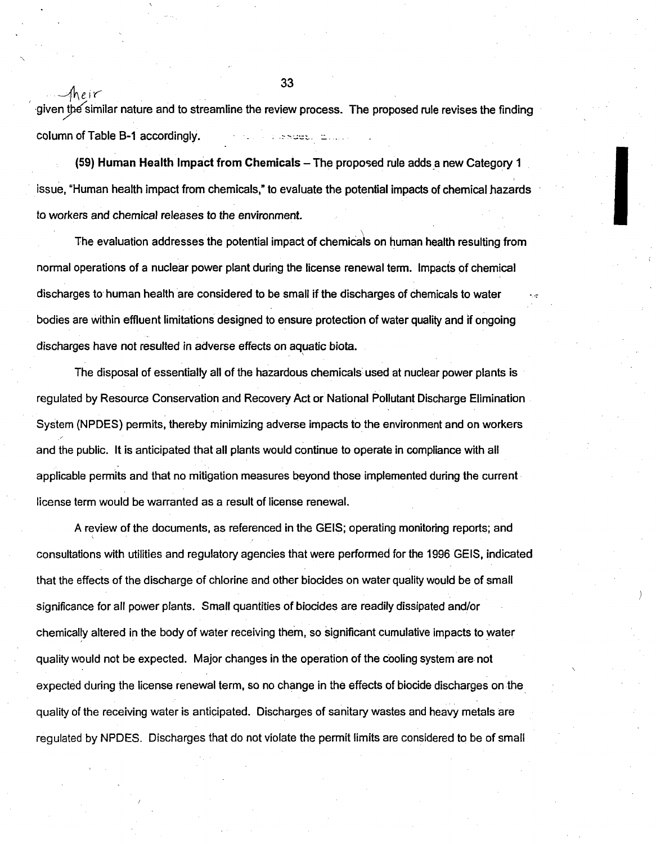given the similar nature and to streamline the review process. The proposed rule revises the finding column of Table B-1 accordingly. The second service of the second service of the service of the service of the

(59) Human Health Impact from Chemicals - The proposed rule adds a new Category **1** issue, "Human health impact from chemicals," to evaluate the potential impacts of chemical hazards to workers and chemical releases to the environment.

The evaluation addresses the potential impact of chemicals on human health resulting from normal operations of a nuclear power plant during the license renewal term. Impacts of chemical discharges to human health are considered to be small if the discharges of chemicals to water bodies are within effluent limitations designed to ensure protection of water quality and if ongoing discharges have not resulted in adverse effects on aquatic biota.

The disposal of essentially all of the hazardous chemicals used at nuclear power plants is regulated by Resource Conservation and Recovery Act or National Pollutant Discharge Elimination System (NPDES) permits, thereby minimizing adverse impacts to the environment and on workers and the public. It is anticipated that all plants would continue to operate in compliance with all applicable permits and that no mitigation measures beyond those implemented during the current license term would be warranted as a result of license renewal.

A review of the documents, as referenced in the GELS; operating monitoring reports; and consultations with utilities and regulatory agencies that were performed for the 1996 GELS, indicated that the effects of the discharge of chlorine and other biocides on water quality would be of small significance for all power plants. Small quantities of biocides are readily dissipated and/or chemically altered in the body of water receiving them, so significant cumulative impacts to water quality would not be expected. Major changes in the operation of the cooling system are, not expected during the license renewal term, so no change in the effects of biocide discharges on the quality of the receiving water is anticipated. Discharges of sanitary wastes and heavy metals are regulated by NPDES. Discharges that do not violate the permit limits are considered to be of small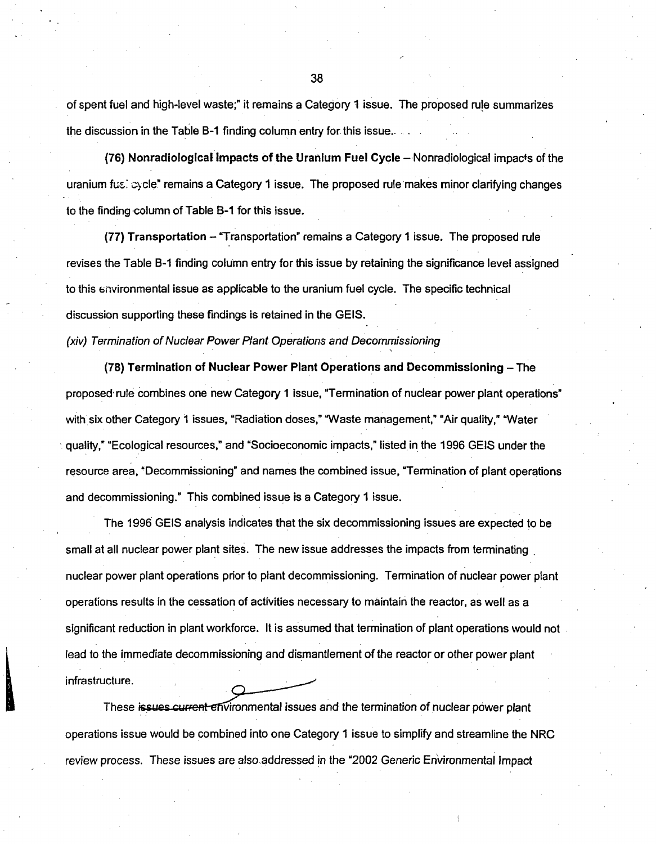of spent fuel and high-level waste;" it remains a Category 1 issue. The proposed rule summarizes the discussion in the Table B-1 finding column entry for this issue..

(76) Nonradiological Impacts of the Uranium Fuel Cycle - Nonradiological impacts of the uranium fu $\epsilon$ :  $\infty$ cle" remains a Category 1 issue. The proposed rule makes minor clarifying changes to the finding column of Table **B-1** for this issue.

(77) Transportation - "Transportation" remains a Category **1** issue. The proposed rule revises the Table B-1 finding column entry for this issue by retaining the significance level assigned to this environmental issue as applicable to the uranium fuel cycle. The specific technical discussion supporting these findings is retained in the GELS.

*(xiv) Termination of Nuclear Power Plant Operations and Decommissioning*

**(78)** Termination of Nuclear Power Plant Operations and Decommissioning - The proposed, rule combines one new Category **1** issue, "Termination of nuclear power plant operations" with six other Category 1 issues, "Radiation doses," "Waste management," "Air quality," "Water squality," "Ecological resources," and "Socioeconomic impacts," listed in the 1996 GEIS under the resource area, "Decommissioning" and names the combined issue, "Termination of plant operations and decommissioning." This combined issue is a Category 1 issue.

The 1996 GElS analysis indicates that the six decommissioning issues are expected to be small at all nuclear power plant sites. The new issue addresses the impacts from terminating nuclear power plant operations prior to plant decommissioning. Termination of nuclear power plant operations results in the cessation of activities necessary to maintain the reactor, as well as a significant reduction in plant workforce. It is assumed that termination of plant operations would not lead to the immediate decommissioning and dismantlement of the reactor or other power plant infrastructure.

These issues current environmental issues and the termination of nuclear power plant operations issue would be combined into one Category **1** issue to simplify and streamline the NRC review process. These issues are also addressed in the "2002 Generic Environmental Impact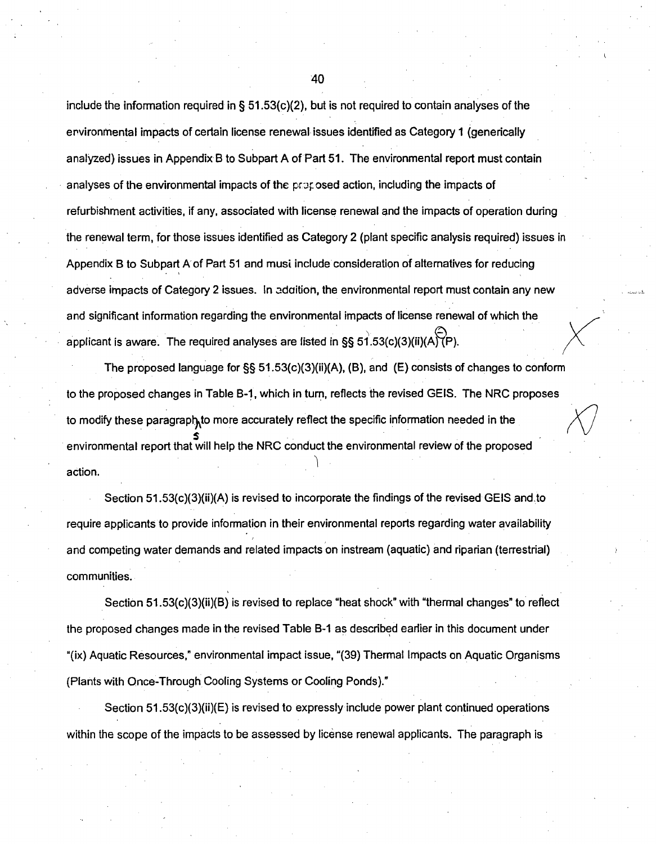include the information required in §  $51.53(c)(2)$ , but is not required to contain analyses of the ervironmental impacts of certain license renewal. issues identified as Category **1** (generically analyzed) issues in Appendix B to Subpart A of Part 51. The environmental report must contain analyses of the environmental impacts of the proposed action, including the impacts of refurbishment activities, if any, associated with license renewal and the impacts of operation during the renewal term, for those issues identified as Category 2 (plant specific analysis required) issues in Appendix B to Subpart A of Part 51 and musi include consideration of alternatives for reducing adverse impacts of Category 2 issues. In adaition, the environmental report must contain any new and significant information regarding the environmental impacts of license renewal of which the applicant is aware. The required analyses are listed in  $\S$ § 51.53(c)(3)(ii)(A) $\overline{P}$ ).

The proposed language for §§ 51.53(c)(3)(ii)(A), (B), and (E) consists of changes to conform to the proposed changes in Table B-1, which in turn, reflects the revised GELS. The NRC proposes to modify these paragraph to more accurately reflect the specific information needed in the environmental report that will help the NRC conduct the environmental review of the proposed action.

Section 51.53(c)(3)(ii)(A) is revised to incorporate the findings of the revised GElS andto require applicants to provide information in their environmental reports regarding water availability and competing water demands and related impacts on instream (aquatic) and riparian (terrestrial) communities.

Section 51.53(c)(3)(ii)(B) is revised to replace "heat shock" with "thermal changes" to reflect the proposed changes made in the revised Table B-1 as described earlier in this document under "(ix) Aquatic Resources," environmental impact issue, "(39) Thermal Impacts on Aquatic Organisms (Plants with Once-Through Cooling Systems or Cooling Ponds)."

Section 51.53(c)(3)(ii)(E) is revised to expressly include power plant continued operations within the scope of the impacts to be assessed by license renewal applicants. The paragraph is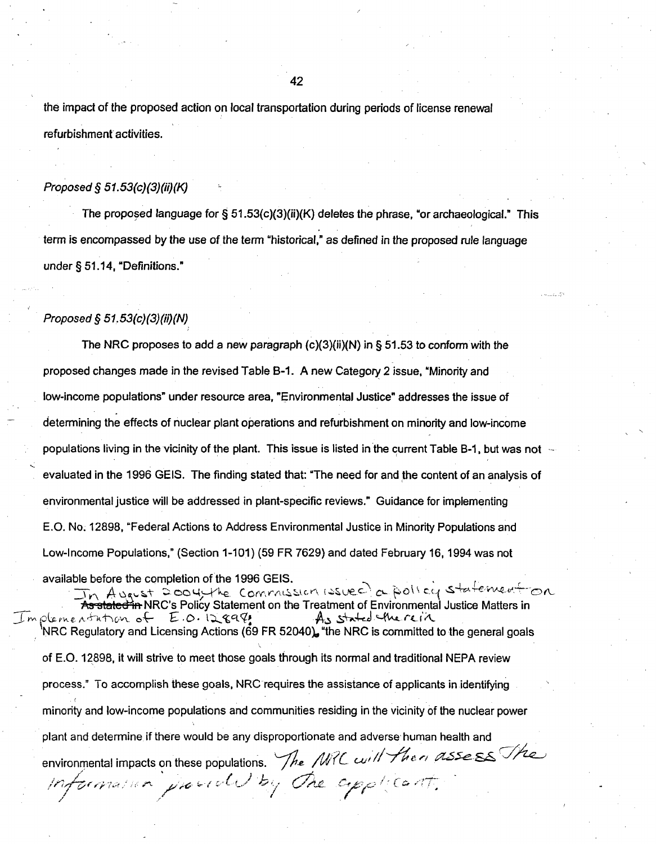the impact of the proposed action on local transportation during periods of license renewal refurbishment activities.

#### *Proposed § 51.53(c)(3)(ii)(K)*

The proposed language for  $\S 51.53(c)(3)(ii)(K)$  deletes the phrase, "or archaeological." This term is encompassed by the use of the term "historical," as defined in the proposed rule language under § 51.14, "Definitions."

### *Proposed § 51.53(c)(3)(ii)(N)*

The NRC proposes to add a new paragraph  $(c)(3)(ii)(N)$  in § 51.53 to conform with the proposed changes made in the revised Table B-1. A new Category 2 issue, "Minority and low-income populations" under resource area, "Environmental Justice" addresses the issue of determining the effects of nuclear plant operations and refurbishment on minority and low-income populations living in the vicinity of the plant. This issue is listed in the current Table B-1, but was not evaluated in the 1996 GEIS. The finding stated that: "The need for and the content of an analysis of environmental justice will be addressed in plant-specific reviews." Guidance for implementing E.O. No. 12898, "Federal Actions to Address Environmental Justice in Minority Populations and Low-Income Populations," (Section 1-101) (59 FR 7629) and dated February 16,1994 was not available before the completion of the 1996 GELS.

In A youst 2004 the Commission (ssuec) a pollog statement of Statements and the Treatment of Environmental Justice Matters in NRC Regulatory and Licensing Actions (69 FR 52040). "the NRC is committed to the general goals of E.O. 12898, it will strive to meet those goals through its normal and traditional NEPA review process." To accomplish these goals, NRC requires the assistance of applicants in identifying minority and low-income populations and communities residing in the vicinity of the nuclear power plant and determine if there would be any disproportionate and adverse human health and environmental impacts on these populations. The *NRC* will then assess The Information parall by the copplicant.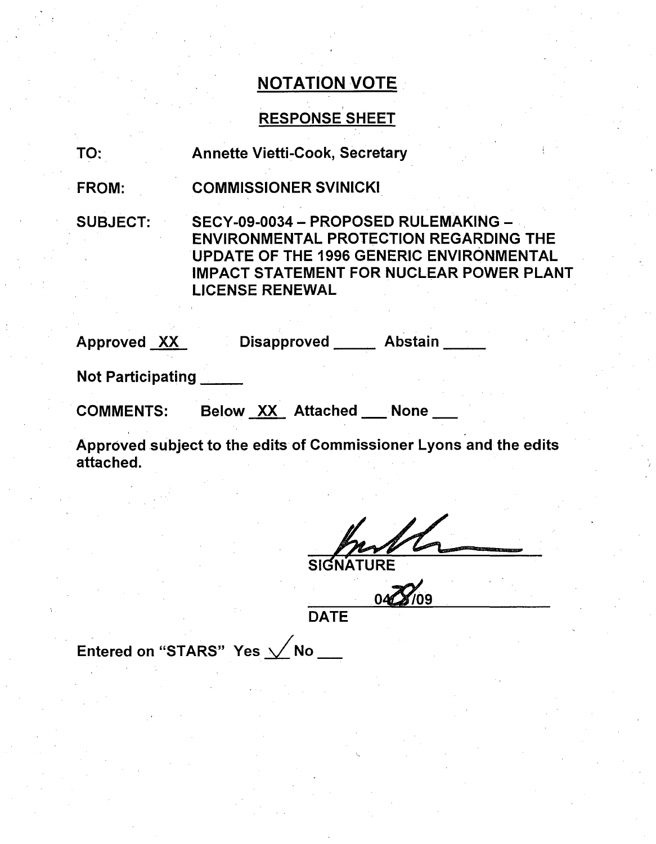# RESPONSE SHEET

TO: Annette Vietti-Cook, Secretary

FROM: COMMISSIONER SVINICKI

SUBJECT: SECY-09-0034 - PROPOSED RULEMAKING -ENVIRONMENTAL PROTECTION REGARDING THE UPDATE OF THE 1996 GENERIC ENVIRONMENTAL IMPACT STATEMENT FOR NUCLEAR POWER PLANT LICENSE RENEWAL

Approved XX Disapproved Abstain

Not Participating **\_**

COMMENTS: Below XX Attached None

Approved subject to the edits of Commissioner Lyons and the edits attached.

SIGNATURE

**DATE** 

Entered on "STARS" Yes  $\sqrt{}$  No  $\_$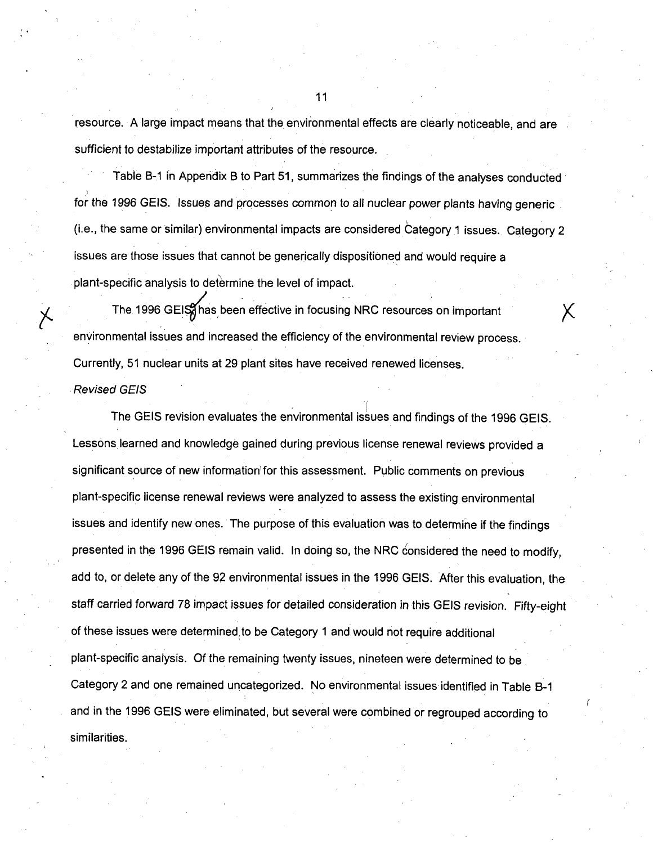resource. A large impact means that the environmental effects are clearly noticeable, and are sufficient to destabilize important attributes of the resource.

Table B-1 in Appendix B to Part 51, summarizes the findings of the analyses conducted for the 1996 **GElS.** Issues and processes common to all nuclear power plants having generic (i.e., the same or similar) environmental impacts are considered Category 1 issues. Category 2 issues are those issues that cannot be generically dispositioned and would require a plant-specific analysis to determine the level of impact.

The 1996 GEIS has been effective in focusing NRC resources on important environmental issues and increased the efficiency of the environmental review process. Currently, 51 nuclear units at 29 plant sites have received renewed licenses.

*Revised GElS*

The GElS revision evaluates the environmental issues and findings of the 1996 GElS. Lessons learned and knowledge gained during previous license renewal reviews provided a significant source of new information for this assessment. Public comments on previous plant-specific license renewal reviews were analyzed to assess the existing environmental issues and identify new ones. The purpose of this evaluation was to determine if the findings presented in the 1996 GEIS remain valid. In doing so, the NRC considered the need to modify, add to, or delete any of the 92 environmental issues in the 1996 GEIS. After this evaluation, the staff carried forward 78 impact issues for detailed consideration in this GElS revision. Fifty-eight of these issues were determined to be Category **1** and would not require additional plant-specific analysis. Of the remaining twenty issues, nineteen were determined to be Category 2 and one remained uncategorized. No environmental issues identified in Table B-I and in the 1996 GElS were eliminated, but several were combined or regrouped according to similarities.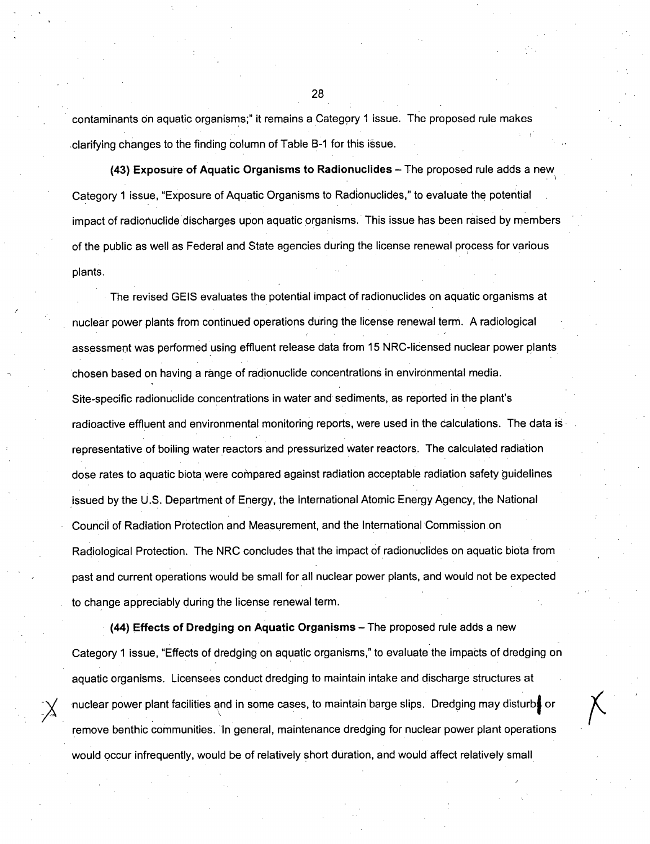contaminants on aquatic organisms;" it remains a Category 1 issue. The proposed rule makes .clarifying changes to the finding column of Table B-1 for this issue.

(43) Exposure of Aquatic Organisms to Radionuclides - The proposed rule adds a new Category 1 issue, "Exposure of Aquatic Organisms to Radionuclides," to evaluate the potential impact of radionuclide discharges upon aquatic organisms. This issue has been raised by members of the public as well as Federal and State agencies during the license renewal process for various plants.

The revised GElS evaluates the potential impact of radionuclides on aquatic organisms at nuclear power plants from continued operations during the license renewal term. A radiological assessment was performed using effluent release data from 15 NRC-licensed nuclear power plants chosen based on having a range of radionuclide concentrations in environmental media. Site-specific radionuclide concentrations in water and sediments, as reported in the plant's radioactive effluent and environmental monitoring reports, were used in the calculations. The data is representative of boiling water reactors and pressurized water reactors. The calculated radiation dose rates to aquatic biota were compared against radiation acceptable radiation safety guidelines issued by the U.S. Department of Energy, the International Atomic Energy Agency, the National Council of Radiation Protection and Measurement, and the International Commission on Radiological Protection. The NRC concludes that the impact of radionuclides on aquatic biota from past and current operations would be small for all nuclear power plants, and would not be expected to change appreciably during the license renewal term.

(44) Effects of Dredging on Aquatic Organisms - The proposed rule adds a new Category 1 issue, "Effects of dredging on aquatic organisms," to evaluate the impacts of dredging on aquatic organisms. Licensees conduct dredging to maintain intake and discharge structures at nuclear power plant facilities and in some cases, to maintain barge slips. Dredging may disturbe or remove benthic communities. In general, maintenance dredging for nuclear power plant operations would occur infrequently, would be of relatively short duration, and would affect relatively small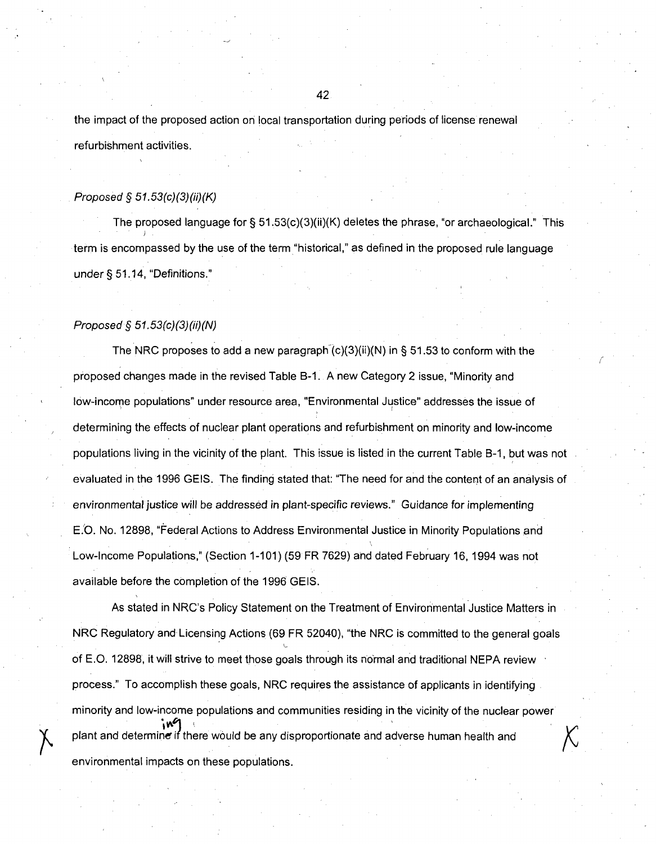the impact of the proposed action on local transportation during periods of license renewal refurbishment activities.

#### *Proposed* § *51.53(c)(3)(ii)(K)*

The proposed language for §  $51.53(c)(3)(ii)(K)$  deletes the phrase, "or archaeological." This term is encompassed by the use of the term "historical," as defined in the proposed rule language under § 51.14, "Definitions."

#### *Proposed* § *51.53(c)(3)(ii)(N)*

The NRC proposes to add a new paragraph  $(c)(3)(ii)(N)$  in § 51.53 to conform with the proposed changes made in the revised Table B-1. A new Category 2 issue, "Minority and low-income populations" under resource area, "Environmental Justice" addresses the issue of determining the effects of nuclear plant operations and refurbishment on minority and low-income populations living in the vicinity of the plant. This issue is listed in the current Table B-1, but was not evaluated in the 1996 GElS. The finding stated that: "The need for and the content of an analysis of environmental justice will be addressed in plant-specific reviews." Guidance for implementing E.O. No. 12898, "Federal Actions to Address Environmental Justice in Minority Populations and Low-Income Populations," (Section 1-101) (59 FR 7629) and dated February 16, 1994 was not available before the completion of the 1996 GELS.

As stated in NRC's Policy Statement on the Treatment of Environmental Justice Matters in NRC Regulatory and Licensing Actions (69 FR 52040), "the NRC is committed to the general goals of E.O. 12898, it will strive to meet those goals through its normal and traditional NEPA review process." To accomplish these goals, NRC requires the assistance of applicants in identifying minority and low-income populations and communities residing in the vicinity of the nuclear power plant and determine if there would be any disproportionate and adverse human health and environmental impacts on these populations.